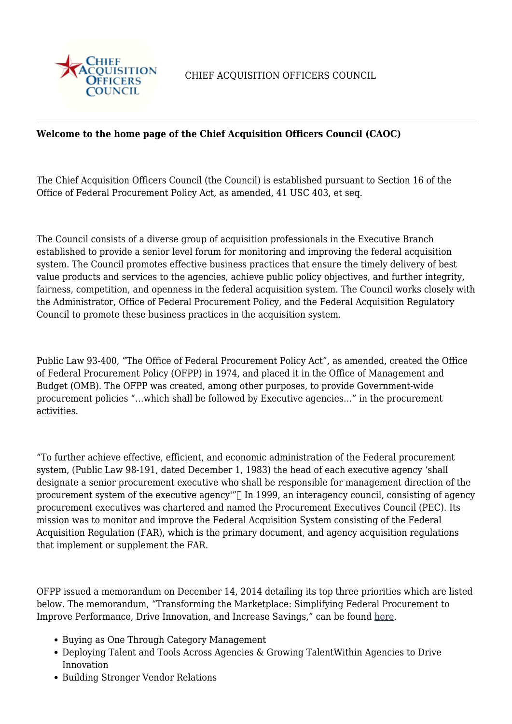

CHIEF ACQUISITION OFFICERS COUNCIL

## **Welcome to the home page of the Chief Acquisition Officers Council (CAOC)**

The Chief Acquisition Officers Council (the Council) is established pursuant to Section 16 of the Office of Federal Procurement Policy Act, as amended, 41 USC 403, et seq.

The Council consists of a diverse group of acquisition professionals in the Executive Branch established to provide a senior level forum for monitoring and improving the federal acquisition system. The Council promotes effective business practices that ensure the timely delivery of best value products and services to the agencies, achieve public policy objectives, and further integrity, fairness, competition, and openness in the federal acquisition system. The Council works closely with the Administrator, Office of Federal Procurement Policy, and the Federal Acquisition Regulatory Council to promote these business practices in the acquisition system.

Public Law 93-400, "The Office of Federal Procurement Policy Act", as amended, created the Office of Federal Procurement Policy (OFPP) in 1974, and placed it in the Office of Management and Budget (OMB). The OFPP was created, among other purposes, to provide Government-wide procurement policies "…which shall be followed by Executive agencies…" in the procurement activities.

"To further achieve effective, efficient, and economic administration of the Federal procurement system, (Public Law 98-191, dated December 1, 1983) the head of each executive agency 'shall designate a senior procurement executive who shall be responsible for management direction of the procurement system of the executive agency" $\Box$  In 1999, an interagency council, consisting of agency procurement executives was chartered and named the Procurement Executives Council (PEC). Its mission was to monitor and improve the Federal Acquisition System consisting of the Federal Acquisition Regulation (FAR), which is the primary document, and agency acquisition regulations that implement or supplement the FAR.

OFPP issued a memorandum on December 14, 2014 detailing its top three priorities which are listed below. The memorandum, "Transforming the Marketplace: Simplifying Federal Procurement to Improve Performance, Drive Innovation, and Increase Savings," can be found [here](https://www.whitehouse.gov/sites/whitehouse.gov/files/omb/procurement/memo/simplifying-federal-procurement-to-improve-performance-drive-innovation-increase-savings.pdf).

- Buving as One Through Category Management
- Deploying Talent and Tools Across Agencies & Growing TalentWithin Agencies to Drive Innovation
- Building Stronger Vendor Relations